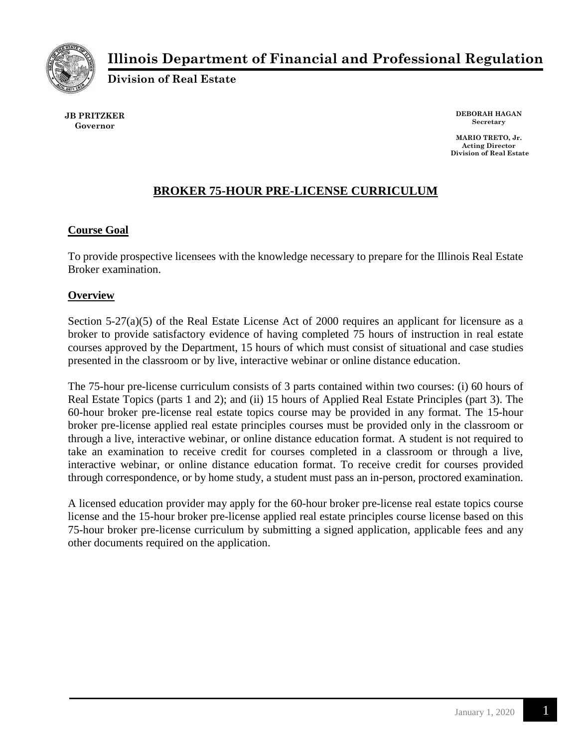

# **Illinois Department of Financial and Professional Regulation**

**Division of Real Estate**

**JB PRITZKER Governor**

**DEBORAH HAGAN Secretary**

**MARIO TRETO, Jr. Acting Director Division of Real Estate**

## **BROKER 75-HOUR PRE-LICENSE CURRICULUM**

#### **Course Goal**

To provide prospective licensees with the knowledge necessary to prepare for the Illinois Real Estate Broker examination.

#### **Overview**

Section 5-27(a)(5) of the Real Estate License Act of 2000 requires an applicant for licensure as a broker to provide satisfactory evidence of having completed 75 hours of instruction in real estate courses approved by the Department, 15 hours of which must consist of situational and case studies presented in the classroom or by live, interactive webinar or online distance education.

The 75-hour pre-license curriculum consists of 3 parts contained within two courses: (i) 60 hours of Real Estate Topics (parts 1 and 2); and (ii) 15 hours of Applied Real Estate Principles (part 3). The 60-hour broker pre-license real estate topics course may be provided in any format. The 15-hour broker pre-license applied real estate principles courses must be provided only in the classroom or through a live, interactive webinar, or online distance education format. A student is not required to take an examination to receive credit for courses completed in a classroom or through a live, interactive webinar, or online distance education format. To receive credit for courses provided through correspondence, or by home study, a student must pass an in-person, proctored examination.

A licensed education provider may apply for the 60-hour broker pre-license real estate topics course license and the 15-hour broker pre-license applied real estate principles course license based on this 75-hour broker pre-license curriculum by submitting a signed application, applicable fees and any other documents required on the application.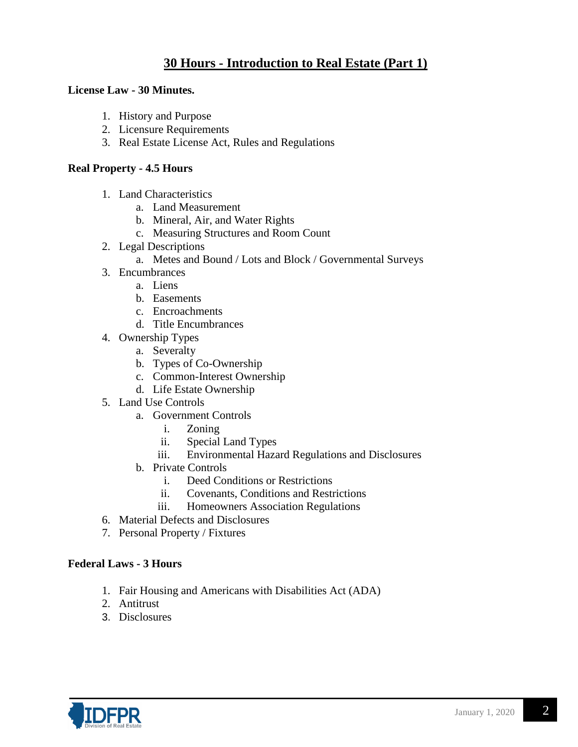## **30 Hours - Introduction to Real Estate (Part 1)**

#### **License Law - 30 Minutes.**

- 1. History and Purpose
- 2. Licensure Requirements
- 3. Real Estate License Act, Rules and Regulations

#### **Real Property - 4.5 Hours**

- 1. Land Characteristics
	- a. Land Measurement
	- b. Mineral, Air, and Water Rights
	- c. Measuring Structures and Room Count
- 2. Legal Descriptions
	- a. Metes and Bound / Lots and Block / Governmental Surveys
- 3. Encumbrances
	- a. Liens
	- b. Easements
	- c. Encroachments
	- d. Title Encumbrances
- 4. Ownership Types
	- a. Severalty
	- b. Types of Co-Ownership
	- c. Common-Interest Ownership
	- d. Life Estate Ownership
- 5. Land Use Controls
	- a. Government Controls
		- i. Zoning
		- ii. Special Land Types
		- iii. Environmental Hazard Regulations and Disclosures
	- b. Private Controls
		- i. Deed Conditions or Restrictions
		- ii. Covenants, Conditions and Restrictions
		- iii. Homeowners Association Regulations
- 6. Material Defects and Disclosures
- 7. Personal Property / Fixtures

#### **Federal Laws - 3 Hours**

- 1. Fair Housing and Americans with Disabilities Act (ADA)
- 2. Antitrust
- 3. Disclosures

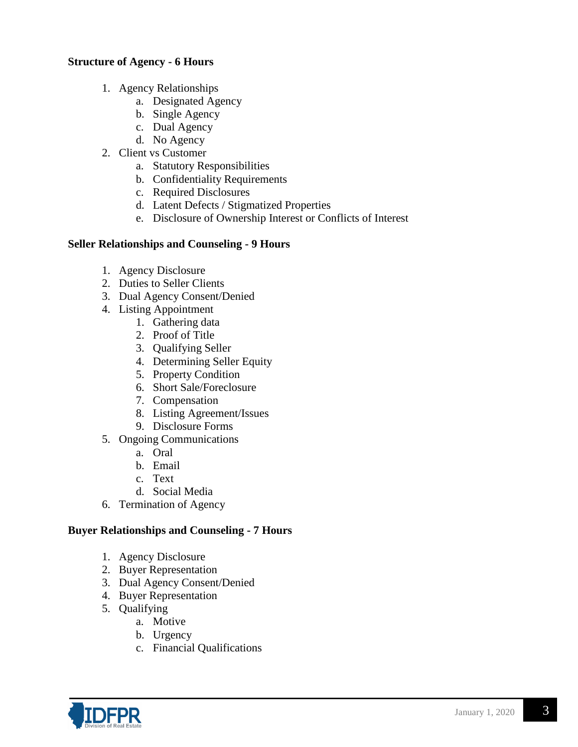#### **Structure of Agency - 6 Hours**

- 1. Agency Relationships
	- a. Designated Agency
	- b. Single Agency
	- c. Dual Agency
	- d. No Agency
- 2. Client vs Customer
	- a. Statutory Responsibilities
	- b. Confidentiality Requirements
	- c. Required Disclosures
	- d. Latent Defects / Stigmatized Properties
	- e. Disclosure of Ownership Interest or Conflicts of Interest

#### **Seller Relationships and Counseling - 9 Hours**

- 1. Agency Disclosure
- 2. Duties to Seller Clients
- 3. Dual Agency Consent/Denied
- 4. Listing Appointment
	- 1. Gathering data
	- 2. Proof of Title
	- 3. Qualifying Seller
	- 4. Determining Seller Equity
	- 5. Property Condition
	- 6. Short Sale/Foreclosure
	- 7. Compensation
	- 8. Listing Agreement/Issues
	- 9. Disclosure Forms
- 5. Ongoing Communications
	- a. Oral
	- b. Email
	- c. Text
	- d. Social Media
- 6. Termination of Agency

#### **Buyer Relationships and Counseling - 7 Hours**

- 1. Agency Disclosure
- 2. Buyer Representation
- 3. Dual Agency Consent/Denied
- 4. Buyer Representation
- 5. Qualifying
	- a. Motive
	- b. Urgency
	- c. Financial Qualifications

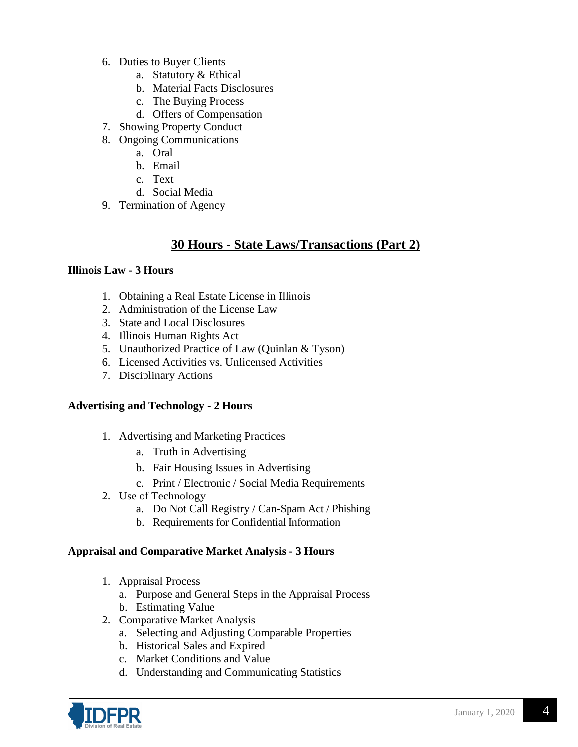- 6. Duties to Buyer Clients
	- a. Statutory & Ethical
	- b. Material Facts Disclosures
	- c. The Buying Process
	- d. Offers of Compensation
- 7. Showing Property Conduct
- 8. Ongoing Communications
	- a. Oral
	- b. Email
	- c. Text
	- d. Social Media
- 9. Termination of Agency

## **30 Hours - State Laws/Transactions (Part 2)**

#### **Illinois Law - 3 Hours**

- 1. Obtaining a Real Estate License in Illinois
- 2. Administration of the License Law
- 3. State and Local Disclosures
- 4. Illinois Human Rights Act
- 5. Unauthorized Practice of Law (Quinlan & Tyson)
- 6. Licensed Activities vs. Unlicensed Activities
- 7. Disciplinary Actions

#### **Advertising and Technology - 2 Hours**

- 1. Advertising and Marketing Practices
	- a. Truth in Advertising
	- b. Fair Housing Issues in Advertising
	- c. Print / Electronic / Social Media Requirements
- 2. Use of Technology
	- a. Do Not Call Registry / Can-Spam Act / Phishing
	- b. Requirements for Confidential Information

#### **Appraisal and Comparative Market Analysis - 3 Hours**

- 1. Appraisal Process
	- a. Purpose and General Steps in the Appraisal Process
	- b. Estimating Value
- 2. Comparative Market Analysis
	- a. Selecting and Adjusting Comparable Properties
	- b. Historical Sales and Expired
	- c. Market Conditions and Value
	- d. Understanding and Communicating Statistics

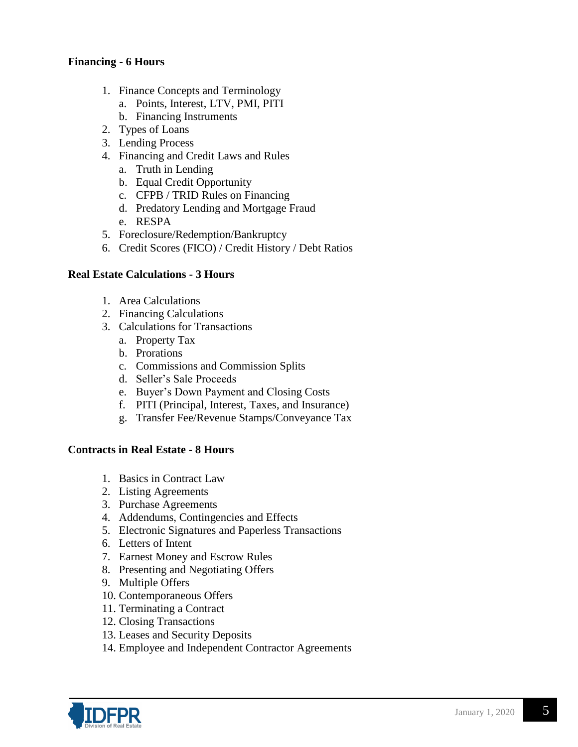#### **Financing - 6 Hours**

- 1. Finance Concepts and Terminology
	- a. Points, Interest, LTV, PMI, PITI
	- b. Financing Instruments
- 2. Types of Loans
- 3. Lending Process
- 4. Financing and Credit Laws and Rules
	- a. Truth in Lending
	- b. Equal Credit Opportunity
	- c. CFPB / TRID Rules on Financing
	- d. Predatory Lending and Mortgage Fraud
	- e. RESPA
- 5. Foreclosure/Redemption/Bankruptcy
- 6. Credit Scores (FICO) / Credit History / Debt Ratios

#### **Real Estate Calculations - 3 Hours**

- 1. Area Calculations
- 2. Financing Calculations
- 3. Calculations for Transactions
	- a. Property Tax
	- b. Prorations
	- c. Commissions and Commission Splits
	- d. Seller's Sale Proceeds
	- e. Buyer's Down Payment and Closing Costs
	- f. PITI (Principal, Interest, Taxes, and Insurance)
	- g. Transfer Fee/Revenue Stamps/Conveyance Tax

#### **Contracts in Real Estate - 8 Hours**

- 1. Basics in Contract Law
- 2. Listing Agreements
- 3. Purchase Agreements
- 4. Addendums, Contingencies and Effects
- 5. Electronic Signatures and Paperless Transactions
- 6. Letters of Intent
- 7. Earnest Money and Escrow Rules
- 8. Presenting and Negotiating Offers
- 9. Multiple Offers
- 10. Contemporaneous Offers
- 11. Terminating a Contract
- 12. Closing Transactions
- 13. Leases and Security Deposits
- 14. Employee and Independent Contractor Agreements

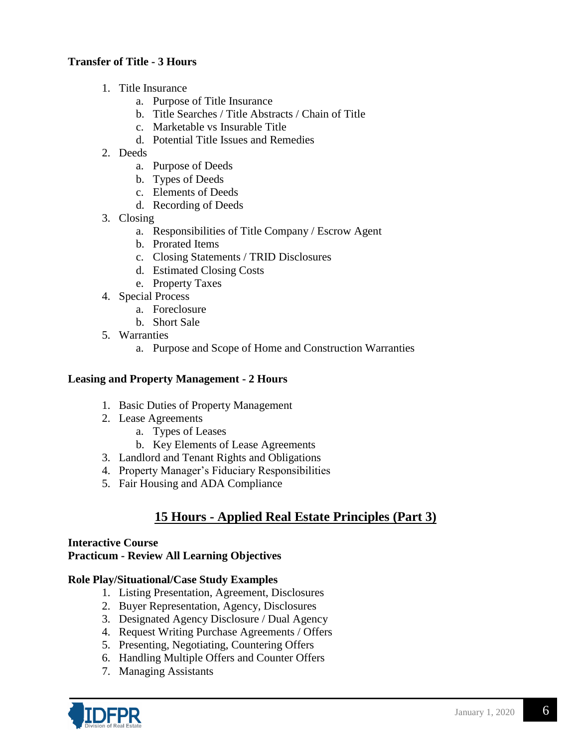#### **Transfer of Title - 3 Hours**

- 1. Title Insurance
	- a. Purpose of Title Insurance
	- b. Title Searches / Title Abstracts / Chain of Title
	- c. Marketable vs Insurable Title
	- d. Potential Title Issues and Remedies
- 2. Deeds
	- a. Purpose of Deeds
	- b. Types of Deeds
	- c. Elements of Deeds
	- d. Recording of Deeds
- 3. Closing
	- a. Responsibilities of Title Company / Escrow Agent
	- b. Prorated Items
	- c. Closing Statements / TRID Disclosures
	- d. Estimated Closing Costs
	- e. Property Taxes
- 4. Special Process
	- a. Foreclosure
	- b. Short Sale
- 5. Warranties
	- a. Purpose and Scope of Home and Construction Warranties

#### **Leasing and Property Management - 2 Hours**

- 1. Basic Duties of Property Management
- 2. Lease Agreements
	- a. Types of Leases
	- b. Key Elements of Lease Agreements
- 3. Landlord and Tenant Rights and Obligations
- 4. Property Manager's Fiduciary Responsibilities
- 5. Fair Housing and ADA Compliance

## **15 Hours - Applied Real Estate Principles (Part 3)**

#### **Interactive Course Practicum - Review All Learning Objectives**

- **Role Play/Situational/Case Study Examples**
	- 1. Listing Presentation, Agreement, Disclosures
	- 2. Buyer Representation, Agency, Disclosures
	- 3. Designated Agency Disclosure / Dual Agency
	- 4. Request Writing Purchase Agreements / Offers
	- 5. Presenting, Negotiating, Countering Offers
	- 6. Handling Multiple Offers and Counter Offers
	- 7. Managing Assistants